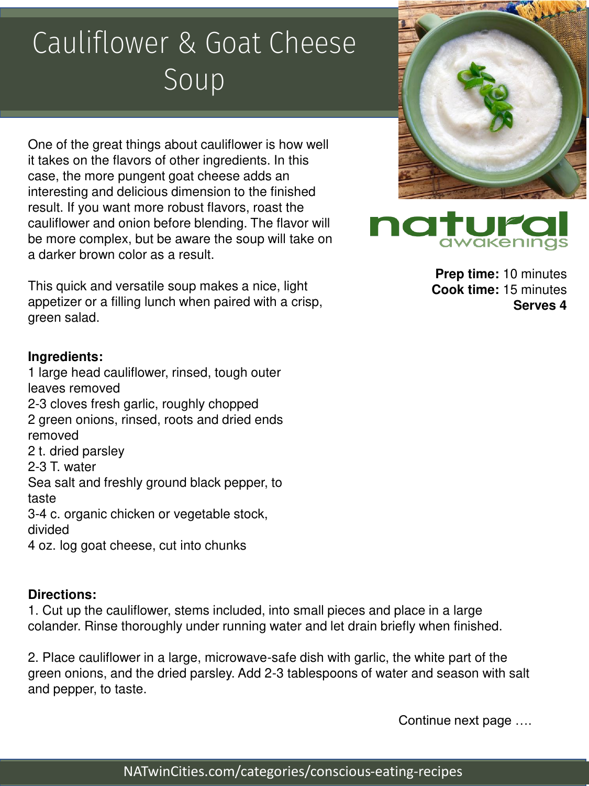## Cauliflower & Goat Cheese Soup

One of the great things about cauliflower is how well it takes on the flavors of other ingredients. In this case, the more pungent goat cheese adds an interesting and delicious dimension to the finished result. If you want more robust flavors, roast the cauliflower and onion before blending. The flavor will be more complex, but be aware the soup will take on a darker brown color as a result.

This quick and versatile soup makes a nice, light appetizer or a filling lunch when paired with a crisp, green salad.

## **Ingredients:**

1 large head cauliflower, rinsed, tough outer leaves removed 2-3 cloves fresh garlic, roughly chopped 2 green onions, rinsed, roots and dried ends removed 2 t. dried parsley 2-3 T. water Sea salt and freshly ground black pepper, to taste 3-4 c. organic chicken or vegetable stock, divided 4 oz. log goat cheese, cut into chunks

## **Directions:**

1. Cut up the cauliflower, stems included, into small pieces and place in a large colander. Rinse thoroughly under running water and let drain briefly when finished.

2. Place cauliflower in a large, microwave-safe dish with garlic, the white part of the green onions, and the dried parsley. Add 2-3 tablespoons of water and season with salt and pepper, to taste.

Continue next page ….





**Prep time:** 10 minutes **Cook time:** 15 minutes **Serves 4**